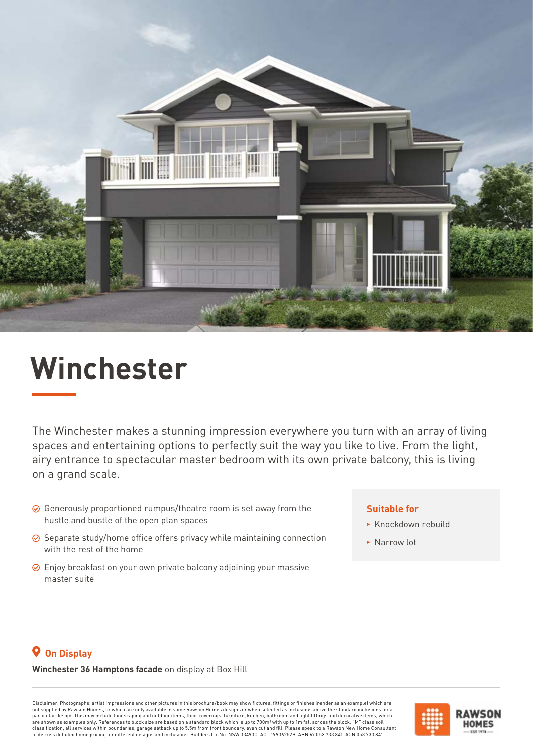

# **Winchester**

The Winchester makes a stunning impression everywhere you turn with an array of living spaces and entertaining options to perfectly suit the way you like to live. From the light, airy entrance to spectacular master bedroom with its own private balcony, this is living on a grand scale.

- $\odot$  Generously proportioned rumpus/theatre room is set away from the hustle and bustle of the open plan spaces
- $\odot$  Separate study/home office offers privacy while maintaining connection with the rest of the home
- Enjoy breakfast on your own private balcony adjoining your massive master suite

### **Suitable for**

- $\triangleright$  Knockdown rebuild
- ▶ Narrow lot

## **On Display**

#### **Winchester 36 Hamptons facade** on display at Box Hill

Disclaimer: Photographs, artist impressions and other pictures in this brochure/book may show fixtures, fittings or finishes (render as an example) which are not supplied by Rawson Homes, or which are only available in some Rawson Homes designs or when selected as inclusions above the standard inclusions for a<br>particular design. This may include landscaping and outdoor items, f are shown as examples only. References to block size are based on a standard block which is up to 700m² with up to 1m fall across the block, "M" class soil<br>classification, all services within boundaries, garage setback up to discuss detailed home pricing for different designs and inclusions. Builders Lic No. NSW 33493C. ACT 19936252B. ABN 67 053 733 841. ACN 053 733 841

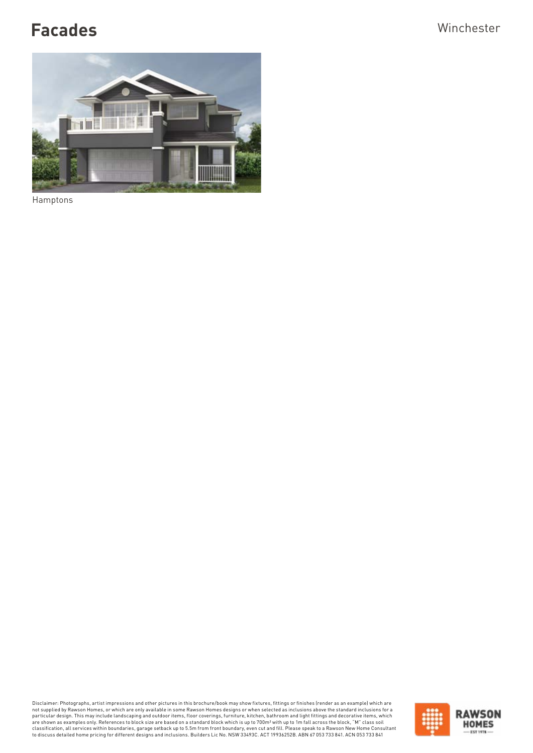# Facades **Winchester**



Hamptons

Disclaimer: Photographs, artist impressions and other pictures in this brochure/book may show fixtures, fittings or finishes (render as an example) which are only a bis broad to the poly available in some Rawson Homes desi